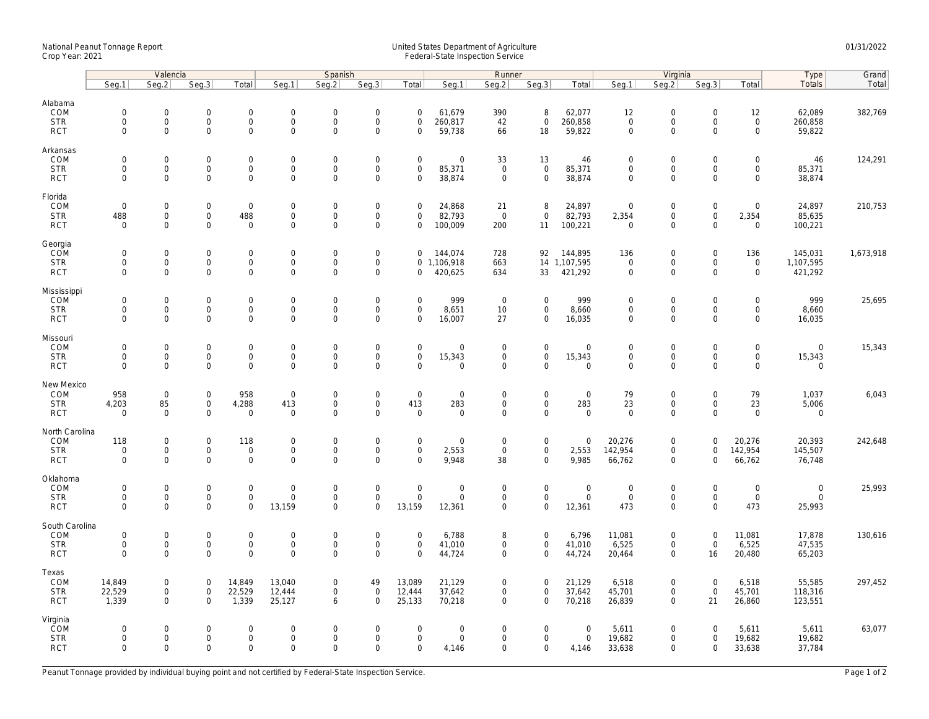## National Peanut Tonnage Report United States Department of Agriculture 01/31/2022 Crop Year: 2021 Federal-State Inspection Service

|                                                          | Valencia                                          |                                                        |                                                           |                                              | Spanish                                           |                                                            |                                                           |                                                   | Runner                                       |                                        |                                           |                                      | Virginia                                                  |                                                                   |                                                           |                                                   | Type                                 | Grand     |
|----------------------------------------------------------|---------------------------------------------------|--------------------------------------------------------|-----------------------------------------------------------|----------------------------------------------|---------------------------------------------------|------------------------------------------------------------|-----------------------------------------------------------|---------------------------------------------------|----------------------------------------------|----------------------------------------|-------------------------------------------|--------------------------------------|-----------------------------------------------------------|-------------------------------------------------------------------|-----------------------------------------------------------|---------------------------------------------------|--------------------------------------|-----------|
|                                                          | Seg.1                                             | Seq.2                                                  | Seg.3                                                     | Total                                        | Seg.1                                             | Seq.2                                                      | Seg.3                                                     | Total                                             | Seg.1                                        | Seg.2                                  | Seg.3                                     | Total                                | Seg.1                                                     | Seg.2                                                             | Seg.3                                                     | Total                                             | Totals                               | Total     |
| Alabama<br>COM<br><b>STR</b><br><b>RCT</b>               | $\mathbf 0$<br>$\mathsf{O}\xspace$<br>$\mathbf 0$ | $\mathsf{O}\xspace$<br>$\mathsf{O}\xspace$<br>$\Omega$ | $\mathbf 0$<br>$\mathsf{O}\xspace$<br>$\mathbf{0}$        | $\mathbf 0$<br>0<br>$\mathbf{0}$             | $\mathbf 0$<br>$\mathsf 0$<br>$\mathbf 0$         | $\mathbf 0$<br>$\mathbf 0$<br>$\Omega$                     | $\mathbf 0$<br>$\mathbf 0$<br>$\mathbf 0$                 | $\mathbf 0$<br>$\mathbf 0$<br>$\Omega$            | 61,679<br>260,817<br>59,738                  | 390<br>42<br>66                        | 8<br>$\mathbf 0$<br>18                    | 62,077<br>260,858<br>59,822          | 12<br>$\mathsf{O}\xspace$<br>$\mathbf 0$                  | $\mathbf 0$<br>$\mathsf{O}\xspace$<br>$\Omega$                    | $\mathbf 0$<br>$\mathsf{O}\xspace$<br>$\Omega$            | 12<br>$\mathsf{O}$<br>$\mathbf 0$                 | 62,089<br>260,858<br>59,822          | 382,769   |
| Arkansas<br>COM<br><b>STR</b><br><b>RCT</b>              | $\mathbf 0$<br>$\mathsf{O}\xspace$<br>$\mathbf 0$ | $\mathbf 0$<br>$\mathbf 0$<br>$\Omega$                 | $\mathbf 0$<br>$\mathsf{O}\xspace$<br>$\mathbf{0}$        | $\mathbf{0}$<br>0<br>0                       | $\mathbf 0$<br>$\mathbf 0$<br>$\mathbf 0$         | $\mathbf 0$<br>$\mathbf 0$<br>$\mathbf 0$                  | $\mathbf 0$<br>$\mathbf 0$<br>$\mathbf 0$                 | $\mathbf 0$<br>$\mathsf{O}\xspace$<br>$\mathbf 0$ | $\mathbf 0$<br>85,371<br>38,874              | 33<br>$\mathsf 0$<br>$\mathbf 0$       | 13<br>$\mathbf 0$<br>$\mathbf 0$          | 46<br>85,371<br>38,874               | $\mathbf 0$<br>$\mathsf{O}\xspace$<br>$\mathbf 0$         | $\mathbf 0$<br>$\mathsf{O}\xspace$<br>$\mathbf 0$                 | $\mathbf{0}$<br>$\mathbf 0$<br>$\Omega$                   | $\mathbf 0$<br>$\mathbf 0$<br>$\mathbf 0$         | 46<br>85,371<br>38,874               | 124,291   |
| Florida<br>COM<br><b>STR</b><br><b>RCT</b>               | $\mathsf{O}\xspace$<br>488<br>$\mathbf 0$         | $\mathbf 0$<br>$\mathbf 0$<br>$\mathbf 0$              | $\mathsf{O}\xspace$<br>$\mathbf 0$<br>$\mathbf 0$         | $\mathsf 0$<br>488<br>$\mathbf 0$            | $\mathbf 0$<br>$\mathbf 0$<br>$\mathsf 0$         | $\mathbf 0$<br>$\mathbf 0$<br>$\mathbf 0$                  | $\mathbf 0$<br>$\mathbf 0$<br>$\mathbf 0$                 | $\mathbf 0$<br>0<br>$\mathbf 0$                   | 24,868<br>82,793<br>100,009                  | 21<br>$\overline{0}$<br>200            | 8<br>$\mathbf 0$<br>11                    | 24,897<br>82,793<br>100,221          | $\mathbf 0$<br>2,354<br>$\mathbf 0$                       | $\mathsf{O}\xspace$<br>$\mathsf{O}\xspace$<br>$\mathbf 0$         | $\mathsf{O}\xspace$<br>$\mathsf{O}\xspace$<br>$\mathbf 0$ | $\mathsf{O}\xspace$<br>2,354<br>$\mathbf 0$       | 24,897<br>85,635<br>100,221          | 210,753   |
| Georgia<br>COM<br><b>STR</b><br><b>RCT</b>               | $\mathbf 0$<br>$\mathbf 0$<br>$\mathbf 0$         | $\mathbf 0$<br>$\mathsf{O}\xspace$<br>$\mathbf 0$      | $\mathbf 0$<br>$\mathbf 0$<br>$\mathbf{0}$                | 0<br>$\overline{0}$<br>$\mathbf{0}$          | $\mathbf 0$<br>$\mathsf{O}\xspace$<br>$\mathbf 0$ | $\mathbf 0$<br>$\mathbf{0}$<br>$\mathbf 0$                 | $\mathbf 0$<br>$\mathbf 0$<br>$\mathbf 0$                 | $\mathbf{0}$<br>$\mathbf{0}$                      | 144,074<br>0 1,106,918<br>420,625            | 728<br>663<br>634                      | 92<br>33                                  | 144,895<br>14 1,107,595<br>421,292   | 136<br>$\mathsf{O}\xspace$<br>$\mathbf 0$                 | $\mathbf 0$<br>$\mathsf{O}\xspace$<br>$\mathbf 0$                 | $\mathbf 0$<br>$\mathbf 0$<br>$\mathbf{0}$                | 136<br>$\mathsf{O}$<br>$\mathbf 0$                | 145,031<br>1,107,595<br>421,292      | 1,673,918 |
| Mississippi<br>COM<br><b>STR</b><br><b>RCT</b>           | $\mathbf 0$<br>$\mathbf 0$<br>$\mathbf 0$         | $\mathbf 0$<br>$\mathsf{O}\xspace$<br>$\mathbf 0$      | $\mathbf 0$<br>$\mathbf 0$<br>$\mathbf 0$                 | 0<br>0<br>0                                  | $\mathbf 0$<br>$\mathsf{O}\xspace$<br>$\mathbf 0$ | $\mathbf 0$<br>$\mathsf{O}\xspace$<br>$\mathbf 0$          | $\mathsf{O}\xspace$<br>$\mathbf 0$<br>$\mathbf 0$         | $\mathbf 0$<br>$\mathbf 0$<br>$\mathbf 0$         | 999<br>8,651<br>16,007                       | $\mathbf{0}$<br>10<br>27               | $\mathbf 0$<br>0<br>$\mathbf 0$           | 999<br>8,660<br>16,035               | $\mathbf 0$<br>$\mathsf{O}\xspace$<br>$\mathsf{O}\xspace$ | $\mathbf 0$<br>$\mathsf{O}\xspace$<br>$\mathbf 0$                 | $\mathbf 0$<br>$\mathbf 0$<br>$\mathbf 0$                 | $\mathbf 0$<br>$\mathsf{O}\xspace$<br>$\mathbf 0$ | 999<br>8,660<br>16,035               | 25,695    |
| Missouri<br>COM<br><b>STR</b><br><b>RCT</b>              | $\mathbf 0$<br>$\mathbf 0$<br>$\mathbf 0$         | $\mathbf 0$<br>$\mathbf 0$<br>$\mathbf 0$              | $\mathsf{O}\xspace$<br>$\mathbf 0$<br>$\mathbf 0$         | 0<br>0<br>0                                  | $\overline{0}$<br>$\mathbf 0$<br>$\mathbf 0$      | $\mathbf 0$<br>$\mathbf 0$<br>$\mathbf 0$                  | $\mathbf 0$<br>$\mathsf{O}\xspace$<br>$\mathbf 0$         | $\mathsf{O}\xspace$<br>$\mathbf 0$<br>$\Omega$    | $\mathsf{O}\xspace$<br>15,343<br>$\mathbf 0$ | $\mathsf 0$<br>0<br>$\mathbf 0$        | $\mathbf 0$<br>0<br>$\mathbf{0}$          | $\mathbf 0$<br>15,343<br>$\mathbf 0$ | $\mathbf 0$<br>$\mathbf 0$<br>$\mathbf 0$                 | $\mathsf{O}\xspace$<br>$\mathsf{O}\xspace$<br>$\mathbf 0$         | $\mathbf 0$<br>$\mathbf 0$<br>$\mathbf 0$                 | $\mathsf{O}\xspace$<br>$\mathbf 0$<br>$\mathbf 0$ | $\mathbf 0$<br>15,343<br>$\mathbf 0$ | 15,343    |
| New Mexico<br>COM<br><b>STR</b><br><b>RCT</b>            | 958<br>4,203<br>$\Omega$                          | $\mathbf 0$<br>85<br>$\mathbf 0$                       | $\mathsf{O}\xspace$<br>$\mathbf 0$<br>$\mathsf{O}\xspace$ | 958<br>4,288<br>$\mathbf 0$                  | $\mathbf 0$<br>413<br>$\mathsf 0$                 | $\mathsf{O}\xspace$<br>$\mathbf{0}$<br>$\mathsf{O}\xspace$ | $\mathsf{O}\xspace$<br>$\mathsf{O}\xspace$<br>$\mathbf 0$ | $\mathsf{O}\xspace$<br>413<br>$\Omega$            | $\mathsf{O}\xspace$<br>283<br>$\mathbf 0$    | $\mathsf 0$<br>$\mathbf 0$<br>$\Omega$ | $\mathbf 0$<br>$\mathbf 0$<br>$\mathbf 0$ | $\mathbf 0$<br>283<br>$\mathsf 0$    | 79<br>23<br>$\Omega$                                      | $\mathsf{O}\xspace$<br>$\mathsf{O}\xspace$<br>$\mathsf{O}\xspace$ | $\mathbf 0$<br>$\mathbf 0$<br>$\Omega$                    | 79<br>23<br>$\mathbf 0$                           | 1,037<br>5,006<br>$\mathbf 0$        | 6,043     |
| North Carolina<br><b>COM</b><br><b>STR</b><br><b>RCT</b> | 118<br>$\mathbf 0$<br>$\Omega$                    | $\mathbf 0$<br>$\mathsf{O}\xspace$<br>$\mathbf 0$      | $\mathsf{O}\xspace$<br>$\mathbf 0$<br>$\mathbf{0}$        | 118<br>$\mathsf{O}\xspace$<br>$\mathbf 0$    | $\mathbf 0$<br>$\mathbf 0$<br>$\mathbf 0$         | $\mathsf{O}\xspace$<br>$\mathbf{0}$<br>$\mathbf 0$         | $\mathsf{O}\xspace$<br>$\mathbf 0$<br>$\mathbf 0$         | $\mathbf 0$<br>$\mathbf 0$<br>$\Omega$            | $\mathbf 0$<br>2,553<br>9,948                | $\mathbf 0$<br>$\mathbf 0$<br>38       | 0<br>$\mathsf{O}$<br>$\mathbf{0}$         | $\mathbf 0$<br>2,553<br>9,985        | 20,276<br>142,954<br>66,762                               | $\mathsf{O}\xspace$<br>$\mathsf{O}\xspace$<br>$\mathbf 0$         | $\Omega$<br>$\mathbf 0$<br>$\Omega$                       | 20,276<br>142,954<br>66,762                       | 20,393<br>145,507<br>76,748          | 242,648   |
| Oklahoma<br>COM<br><b>STR</b><br><b>RCT</b>              | $\mathbf 0$<br>$\mathbf 0$<br>$\Omega$            | $\mathsf{O}\xspace$<br>$\mathsf{O}\xspace$<br>$\Omega$ | $\mathbf 0$<br>$\mathbf 0$<br>$\mathbf 0$                 | $\mathbf{0}$<br>$\mathsf{O}\xspace$<br>0     | $\mathbf{0}$<br>$\mathsf 0$<br>13,159             | $\mathbf 0$<br>$\mathbf 0$<br>$\mathbf 0$                  | $\mathbf 0$<br>$\mathbf 0$<br>$\mathbf 0$                 | $\mathbf 0$<br>$\mathsf{O}\xspace$<br>13,159      | $\mathbf 0$<br>$\mathbf 0$<br>12,361         | $\mathbf 0$<br>0<br>$\mathbf 0$        | $\mathbf{0}$<br>$\mathsf{O}\xspace$<br>0  | $\mathbf 0$<br>$\mathsf 0$<br>12,361 | $\mathbf 0$<br>$\mathbf 0$<br>473                         | $\mathbf 0$<br>$\mathsf{O}\xspace$<br>$\mathbf 0$                 | $\mathbf 0$<br>$\mathbf 0$<br>$\Omega$                    | $\mathbf 0$<br>$\mathsf 0$<br>473                 | $\mathbf 0$<br>$\mathbf 0$<br>25,993 | 25,993    |
| South Carolina<br>COM<br><b>STR</b><br><b>RCT</b>        | $\mathbf 0$<br>$\mathsf{O}\xspace$<br>$\mathbf 0$ | $\mathbf 0$<br>$\mathbf 0$<br>$\mathbf 0$              | $\mathsf{O}\xspace$<br>0<br>$\mathbf 0$                   | $\mathbf 0$<br>$\mathbf 0$<br>$\overline{0}$ | $\mathbf 0$<br>$\mathbf 0$<br>$\mathbf 0$         | $\mathsf{O}\xspace$<br>$\mathsf{O}\xspace$<br>$\mathbf 0$  | $\mathbf 0$<br>$\mathsf{O}\xspace$<br>$\mathbf 0$         | $\mathbf 0$<br>$\mathsf{O}\xspace$<br>$\mathbf 0$ | 6,788<br>41,010<br>44,724                    | 8<br>0<br>$\mathbf 0$                  | $\mathbf 0$<br>0<br>$\mathbf 0$           | 6,796<br>41,010<br>44,724            | 11,081<br>6,525<br>20,464                                 | $\mathsf{O}\xspace$<br>$\mathsf{O}\xspace$<br>$\mathbf 0$         | $\mathbf 0$<br>$\mathsf{O}\xspace$<br>16                  | 11,081<br>6,525<br>20,480                         | 17,878<br>47,535<br>65,203           | 130,616   |
| Texas<br>COM<br><b>STR</b><br><b>RCT</b>                 | 14,849<br>22,529<br>1,339                         | 0<br>$\mathsf{O}\xspace$<br>$\Omega$                   | $\mathbf 0$<br>$\mathsf{O}\xspace$<br>$\mathbf 0$         | 14,849<br>22,529<br>1,339                    | 13,040<br>12,444<br>25,127                        | $\mathbf 0$<br>$\mathbf 0$<br>6                            | 49<br>$\mathbf 0$<br>$\mathbf 0$                          | 13,089<br>12,444<br>25,133                        | 21,129<br>37,642<br>70,218                   | 0<br>0<br>$\Omega$                     | $\mathbf 0$<br>$\mathbf 0$<br>$\mathbf 0$ | 21,129<br>37,642<br>70,218           | 6,518<br>45,701<br>26,839                                 | $\mathbf 0$<br>$\mathsf{O}\xspace$<br>$\mathbf 0$                 | $\mathbf 0$<br>$\mathsf{O}\xspace$<br>21                  | 6,518<br>45,701<br>26,860                         | 55,585<br>118,316<br>123,551         | 297,452   |
| Virginia<br>COM<br><b>STR</b><br><b>RCT</b>              | $\mathbf 0$<br>$\mathbf 0$<br>$\mathbf 0$         | $\mathbf 0$<br>$\mathbf 0$<br>$\mathbf 0$              | $\mathbf{0}$<br>$\mathsf{O}\xspace$<br>$\mathbf 0$        | $\mathbf 0$<br>0<br>0                        | $\Omega$<br>$\mathbf 0$<br>$\mathbf 0$            | $\overline{0}$<br>$\mathsf{O}\xspace$<br>$\mathbf 0$       | $\mathbf 0$<br>$\mathbf 0$<br>$\mathbf 0$                 | $\Omega$<br>$\mathsf{O}\xspace$<br>$\mathbf 0$    | $\mathbf 0$<br>$\mathbf 0$<br>4,146          | $\mathbf 0$<br>0<br>0                  | $\mathbf 0$<br>$\mathbf 0$<br>0           | $\mathbf 0$<br>$\mathsf 0$<br>4,146  | 5,611<br>19,682<br>33,638                                 | $\mathbf 0$<br>$\mathsf{O}\xspace$<br>$\mathbf 0$                 | $\Omega$<br>$\mathbf 0$<br>$\mathbf 0$                    | 5,611<br>19,682<br>33,638                         | 5,611<br>19,682<br>37,784            | 63,077    |

Peanut Tonnage provided by individual buying point and not certified by Federal-State Inspection Service. Page 1 of 2